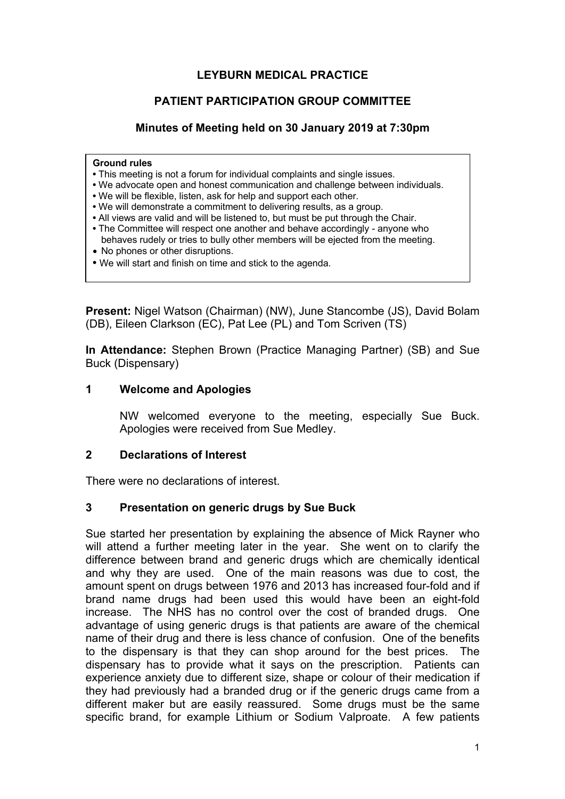# **LEYBURN MEDICAL PRACTICE**

# **PATIENT PARTICIPATION GROUP COMMITTEE**

#### **Minutes of Meeting held on 30 January 2019 at 7:30pm**

#### **Ground rules**

- This meeting is not a forum for individual complaints and single issues.
- We advocate open and honest communication and challenge between individuals.
- We will be flexible, listen, ask for help and support each other.
- We will demonstrate a commitment to delivering results, as a group.
- All views are valid and will be listened to, but must be put through the Chair.
- The Committee will respect one another and behave accordingly anyone who behaves rudely or tries to bully other members will be ejected from the meeting.
- No phones or other disruptions.
- We will start and finish on time and stick to the agenda.

**Present:** Nigel Watson (Chairman) (NW), June Stancombe (JS), David Bolam (DB), Eileen Clarkson (EC), Pat Lee (PL) and Tom Scriven (TS)

**In Attendance:** Stephen Brown (Practice Managing Partner) (SB) and Sue Buck (Dispensary)

#### **1 Welcome and Apologies**

NW welcomed everyone to the meeting, especially Sue Buck. Apologies were received from Sue Medley.

#### **2 Declarations of Interest**

There were no declarations of interest.

# **3 Presentation on generic drugs by Sue Buck**

Sue started her presentation by explaining the absence of Mick Rayner who will attend a further meeting later in the year. She went on to clarify the difference between brand and generic drugs which are chemically identical and why they are used. One of the main reasons was due to cost, the amount spent on drugs between 1976 and 2013 has increased four-fold and if brand name drugs had been used this would have been an eight-fold increase. The NHS has no control over the cost of branded drugs. One advantage of using generic drugs is that patients are aware of the chemical name of their drug and there is less chance of confusion. One of the benefits to the dispensary is that they can shop around for the best prices. The dispensary has to provide what it says on the prescription. Patients can experience anxiety due to different size, shape or colour of their medication if they had previously had a branded drug or if the generic drugs came from a different maker but are easily reassured. Some drugs must be the same specific brand, for example Lithium or Sodium Valproate. A few patients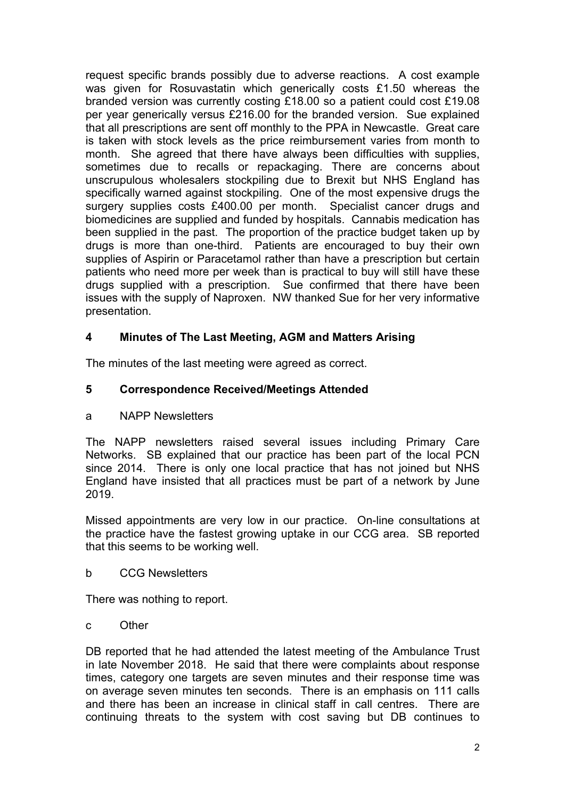request specific brands possibly due to adverse reactions. A cost example was given for Rosuvastatin which generically costs £1.50 whereas the branded version was currently costing £18.00 so a patient could cost £19.08 per year generically versus £216.00 for the branded version. Sue explained that all prescriptions are sent off monthly to the PPA in Newcastle. Great care is taken with stock levels as the price reimbursement varies from month to month. She agreed that there have always been difficulties with supplies, sometimes due to recalls or repackaging. There are concerns about unscrupulous wholesalers stockpiling due to Brexit but NHS England has specifically warned against stockpiling. One of the most expensive drugs the surgery supplies costs £400.00 per month. Specialist cancer drugs and biomedicines are supplied and funded by hospitals. Cannabis medication has been supplied in the past. The proportion of the practice budget taken up by drugs is more than one-third. Patients are encouraged to buy their own supplies of Aspirin or Paracetamol rather than have a prescription but certain patients who need more per week than is practical to buy will still have these drugs supplied with a prescription. Sue confirmed that there have been issues with the supply of Naproxen. NW thanked Sue for her very informative presentation.

# **4 Minutes of The Last Meeting, AGM and Matters Arising**

The minutes of the last meeting were agreed as correct.

# **5 Correspondence Received/Meetings Attended**

a NAPP Newsletters

The NAPP newsletters raised several issues including Primary Care Networks. SB explained that our practice has been part of the local PCN since 2014. There is only one local practice that has not joined but NHS England have insisted that all practices must be part of a network by June 2019.

Missed appointments are very low in our practice. On-line consultations at the practice have the fastest growing uptake in our CCG area. SB reported that this seems to be working well.

b CCG Newsletters

There was nothing to report.

c Other

DB reported that he had attended the latest meeting of the Ambulance Trust in late November 2018. He said that there were complaints about response times, category one targets are seven minutes and their response time was on average seven minutes ten seconds. There is an emphasis on 111 calls and there has been an increase in clinical staff in call centres. There are continuing threats to the system with cost saving but DB continues to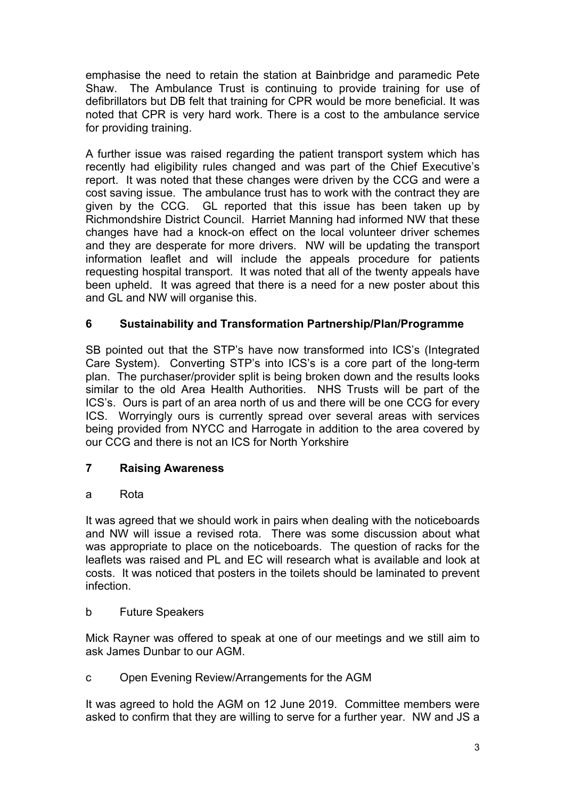emphasise the need to retain the station at Bainbridge and paramedic Pete Shaw. The Ambulance Trust is continuing to provide training for use of defibrillators but DB felt that training for CPR would be more beneficial. It was noted that CPR is very hard work. There is a cost to the ambulance service for providing training.

A further issue was raised regarding the patient transport system which has recently had eligibility rules changed and was part of the Chief Executive's report. It was noted that these changes were driven by the CCG and were a cost saving issue. The ambulance trust has to work with the contract they are given by the CCG. GL reported that this issue has been taken up by Richmondshire District Council. Harriet Manning had informed NW that these changes have had a knock-on effect on the local volunteer driver schemes and they are desperate for more drivers. NW will be updating the transport information leaflet and will include the appeals procedure for patients requesting hospital transport. It was noted that all of the twenty appeals have been upheld. It was agreed that there is a need for a new poster about this and GL and NW will organise this.

# **6 Sustainability and Transformation Partnership/Plan/Programme**

SB pointed out that the STP's have now transformed into ICS's (Integrated Care System). Converting STP's into ICS's is a core part of the long-term plan. The purchaser/provider split is being broken down and the results looks similar to the old Area Health Authorities. NHS Trusts will be part of the ICS's. Ours is part of an area north of us and there will be one CCG for every ICS. Worryingly ours is currently spread over several areas with services being provided from NYCC and Harrogate in addition to the area covered by our CCG and there is not an ICS for North Yorkshire

# **7 Raising Awareness**

# a Rota

It was agreed that we should work in pairs when dealing with the noticeboards and NW will issue a revised rota. There was some discussion about what was appropriate to place on the noticeboards. The question of racks for the leaflets was raised and PL and EC will research what is available and look at costs. It was noticed that posters in the toilets should be laminated to prevent infection.

#### b Future Speakers

Mick Rayner was offered to speak at one of our meetings and we still aim to ask James Dunbar to our AGM.

# c Open Evening Review/Arrangements for the AGM

It was agreed to hold the AGM on 12 June 2019. Committee members were asked to confirm that they are willing to serve for a further year. NW and JS a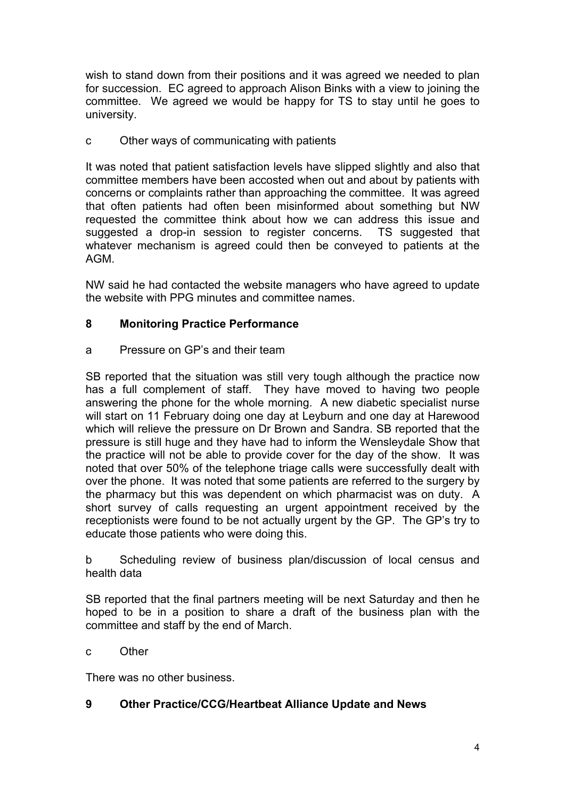wish to stand down from their positions and it was agreed we needed to plan for succession. EC agreed to approach Alison Binks with a view to joining the committee. We agreed we would be happy for TS to stay until he goes to university.

# c Other ways of communicating with patients

It was noted that patient satisfaction levels have slipped slightly and also that committee members have been accosted when out and about by patients with concerns or complaints rather than approaching the committee. It was agreed that often patients had often been misinformed about something but NW requested the committee think about how we can address this issue and suggested a drop-in session to register concerns. TS suggested that whatever mechanism is agreed could then be conveyed to patients at the AGM.

NW said he had contacted the website managers who have agreed to update the website with PPG minutes and committee names.

# **8 Monitoring Practice Performance**

# a Pressure on GP's and their team

SB reported that the situation was still very tough although the practice now has a full complement of staff. They have moved to having two people answering the phone for the whole morning. A new diabetic specialist nurse will start on 11 February doing one day at Leyburn and one day at Harewood which will relieve the pressure on Dr Brown and Sandra. SB reported that the pressure is still huge and they have had to inform the Wensleydale Show that the practice will not be able to provide cover for the day of the show. It was noted that over 50% of the telephone triage calls were successfully dealt with over the phone. It was noted that some patients are referred to the surgery by the pharmacy but this was dependent on which pharmacist was on duty. A short survey of calls requesting an urgent appointment received by the receptionists were found to be not actually urgent by the GP. The GP's try to educate those patients who were doing this.

b Scheduling review of business plan/discussion of local census and health data

SB reported that the final partners meeting will be next Saturday and then he hoped to be in a position to share a draft of the business plan with the committee and staff by the end of March.

c Other

There was no other business.

# **9 Other Practice/CCG/Heartbeat Alliance Update and News**